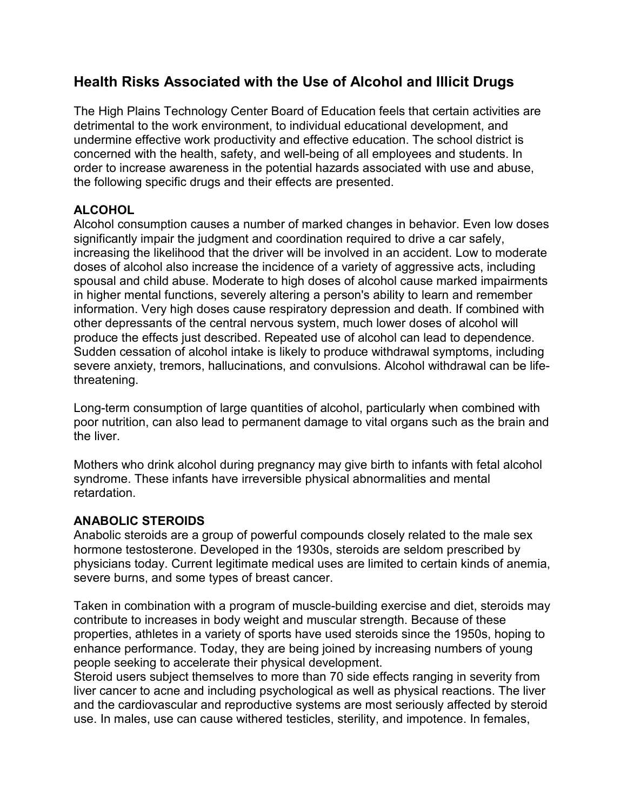# **Health Risks Associated with the Use of Alcohol and Illicit Drugs**

The High Plains Technology Center Board of Education feels that certain activities are detrimental to the work environment, to individual educational development, and undermine effective work productivity and effective education. The school district is concerned with the health, safety, and well-being of all employees and students. In order to increase awareness in the potential hazards associated with use and abuse, the following specific drugs and their effects are presented.

# **ALCOHOL**

Alcohol consumption causes a number of marked changes in behavior. Even low doses significantly impair the judgment and coordination required to drive a car safely, increasing the likelihood that the driver will be involved in an accident. Low to moderate doses of alcohol also increase the incidence of a variety of aggressive acts, including spousal and child abuse. Moderate to high doses of alcohol cause marked impairments in higher mental functions, severely altering a person's ability to learn and remember information. Very high doses cause respiratory depression and death. If combined with other depressants of the central nervous system, much lower doses of alcohol will produce the effects just described. Repeated use of alcohol can lead to dependence. Sudden cessation of alcohol intake is likely to produce withdrawal symptoms, including severe anxiety, tremors, hallucinations, and convulsions. Alcohol withdrawal can be lifethreatening.

Long-term consumption of large quantities of alcohol, particularly when combined with poor nutrition, can also lead to permanent damage to vital organs such as the brain and the liver.

Mothers who drink alcohol during pregnancy may give birth to infants with fetal alcohol syndrome. These infants have irreversible physical abnormalities and mental retardation.

## **ANABOLIC STEROIDS**

Anabolic steroids are a group of powerful compounds closely related to the male sex hormone testosterone. Developed in the 1930s, steroids are seldom prescribed by physicians today. Current legitimate medical uses are limited to certain kinds of anemia, severe burns, and some types of breast cancer.

Taken in combination with a program of muscle-building exercise and diet, steroids may contribute to increases in body weight and muscular strength. Because of these properties, athletes in a variety of sports have used steroids since the 1950s, hoping to enhance performance. Today, they are being joined by increasing numbers of young people seeking to accelerate their physical development.

Steroid users subject themselves to more than 70 side effects ranging in severity from liver cancer to acne and including psychological as well as physical reactions. The liver and the cardiovascular and reproductive systems are most seriously affected by steroid use. In males, use can cause withered testicles, sterility, and impotence. In females,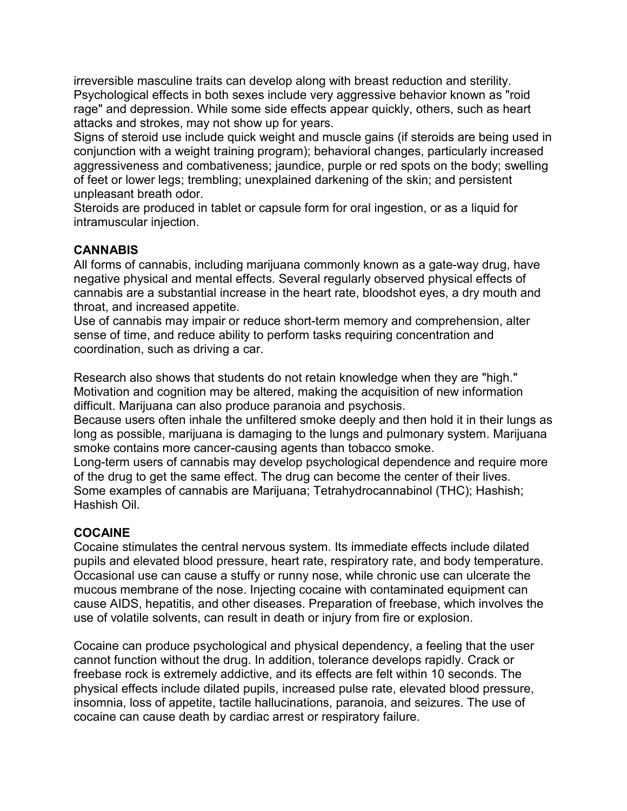irreversible masculine traits can develop along with breast reduction and sterility. Psychological effects in both sexes include very aggressive behavior known as "roid rage" and depression. While some side effects appear quickly, others, such as heart attacks and strokes, may not show up for years.

Signs of steroid use include quick weight and muscle gains (if steroids are being used in conjunction with a weight training program); behavioral changes, particularly increased aggressiveness and combativeness; jaundice, purple or red spots on the body; swelling of feet or lower legs; trembling; unexplained darkening of the skin; and persistent unpleasant breath odor.

Steroids are produced in tablet or capsule form for oral ingestion, or as a liquid for intramuscular injection.

## **CANNABIS**

All forms of cannabis, including marijuana commonly known as a gate-way drug, have negative physical and mental effects. Several regularly observed physical effects of cannabis are a substantial increase in the heart rate, bloodshot eyes, a dry mouth and throat, and increased appetite.

Use of cannabis may impair or reduce short-term memory and comprehension, alter sense of time, and reduce ability to perform tasks requiring concentration and coordination, such as driving a car.

Research also shows that students do not retain knowledge when they are "high." Motivation and cognition may be altered, making the acquisition of new information difficult. Marijuana can also produce paranoia and psychosis.

Because users often inhale the unfiltered smoke deeply and then hold it in their lungs as long as possible, marijuana is damaging to the lungs and pulmonary system. Marijuana smoke contains more cancer-causing agents than tobacco smoke.

Long-term users of cannabis may develop psychological dependence and require more of the drug to get the same effect. The drug can become the center of their lives. Some examples of cannabis are Marijuana; Tetrahydrocannabinol (THC); Hashish; Hashish Oil.

## **COCAINE**

Cocaine stimulates the central nervous system. Its immediate effects include dilated pupils and elevated blood pressure, heart rate, respiratory rate, and body temperature. Occasional use can cause a stuffy or runny nose, while chronic use can ulcerate the mucous membrane of the nose. Injecting cocaine with contaminated equipment can cause AIDS, hepatitis, and other diseases. Preparation of freebase, which involves the use of volatile solvents, can result in death or injury from fire or explosion.

Cocaine can produce psychological and physical dependency, a feeling that the user cannot function without the drug. In addition, tolerance develops rapidly. Crack or freebase rock is extremely addictive, and its effects are felt within 10 seconds. The physical effects include dilated pupils, increased pulse rate, elevated blood pressure, insomnia, loss of appetite, tactile hallucinations, paranoia, and seizures. The use of cocaine can cause death by cardiac arrest or respiratory failure.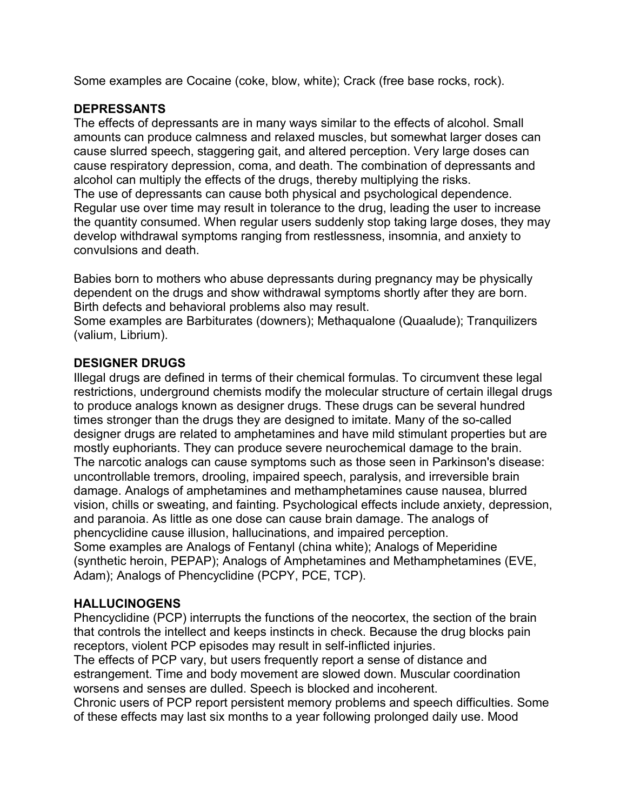Some examples are Cocaine (coke, blow, white); Crack (free base rocks, rock).

## **DEPRESSANTS**

The effects of depressants are in many ways similar to the effects of alcohol. Small amounts can produce calmness and relaxed muscles, but somewhat larger doses can cause slurred speech, staggering gait, and altered perception. Very large doses can cause respiratory depression, coma, and death. The combination of depressants and alcohol can multiply the effects of the drugs, thereby multiplying the risks. The use of depressants can cause both physical and psychological dependence. Regular use over time may result in tolerance to the drug, leading the user to increase the quantity consumed. When regular users suddenly stop taking large doses, they may develop withdrawal symptoms ranging from restlessness, insomnia, and anxiety to convulsions and death.

Babies born to mothers who abuse depressants during pregnancy may be physically dependent on the drugs and show withdrawal symptoms shortly after they are born. Birth defects and behavioral problems also may result.

Some examples are Barbiturates (downers); Methaqualone (Quaalude); Tranquilizers (valium, Librium).

# **DESIGNER DRUGS**

Illegal drugs are defined in terms of their chemical formulas. To circumvent these legal restrictions, underground chemists modify the molecular structure of certain illegal drugs to produce analogs known as designer drugs. These drugs can be several hundred times stronger than the drugs they are designed to imitate. Many of the so-called designer drugs are related to amphetamines and have mild stimulant properties but are mostly euphoriants. They can produce severe neurochemical damage to the brain. The narcotic analogs can cause symptoms such as those seen in Parkinson's disease: uncontrollable tremors, drooling, impaired speech, paralysis, and irreversible brain damage. Analogs of amphetamines and methamphetamines cause nausea, blurred vision, chills or sweating, and fainting. Psychological effects include anxiety, depression, and paranoia. As little as one dose can cause brain damage. The analogs of phencyclidine cause illusion, hallucinations, and impaired perception. Some examples are Analogs of Fentanyl (china white); Analogs of Meperidine (synthetic heroin, PEPAP); Analogs of Amphetamines and Methamphetamines (EVE, Adam); Analogs of Phencyclidine (PCPY, PCE, TCP).

## **HALLUCINOGENS**

Phencyclidine (PCP) interrupts the functions of the neocortex, the section of the brain that controls the intellect and keeps instincts in check. Because the drug blocks pain receptors, violent PCP episodes may result in self-inflicted injuries.

The effects of PCP vary, but users frequently report a sense of distance and estrangement. Time and body movement are slowed down. Muscular coordination worsens and senses are dulled. Speech is blocked and incoherent.

Chronic users of PCP report persistent memory problems and speech difficulties. Some of these effects may last six months to a year following prolonged daily use. Mood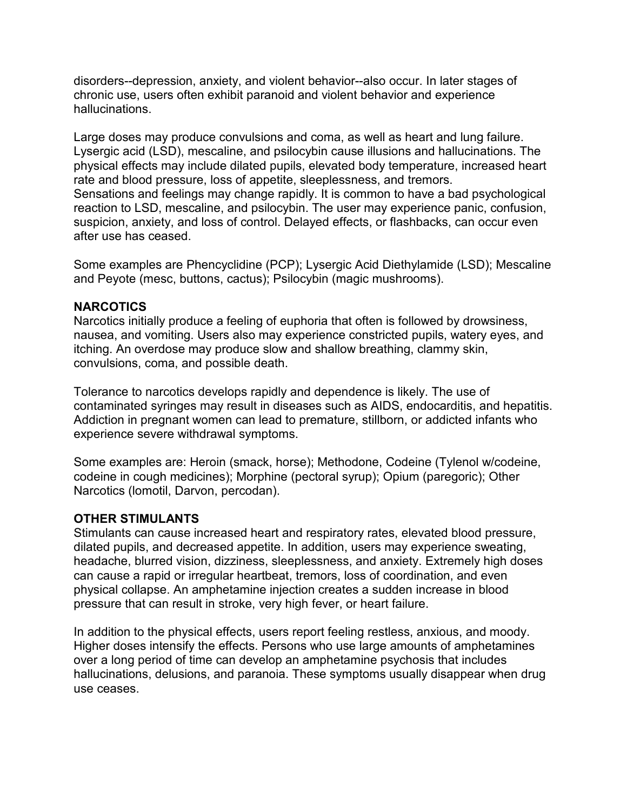disorders--depression, anxiety, and violent behavior--also occur. In later stages of chronic use, users often exhibit paranoid and violent behavior and experience hallucinations.

Large doses may produce convulsions and coma, as well as heart and lung failure. Lysergic acid (LSD), mescaline, and psilocybin cause illusions and hallucinations. The physical effects may include dilated pupils, elevated body temperature, increased heart rate and blood pressure, loss of appetite, sleeplessness, and tremors. Sensations and feelings may change rapidly. It is common to have a bad psychological reaction to LSD, mescaline, and psilocybin. The user may experience panic, confusion, suspicion, anxiety, and loss of control. Delayed effects, or flashbacks, can occur even after use has ceased.

Some examples are Phencyclidine (PCP); Lysergic Acid Diethylamide (LSD); Mescaline and Peyote (mesc, buttons, cactus); Psilocybin (magic mushrooms).

#### **NARCOTICS**

Narcotics initially produce a feeling of euphoria that often is followed by drowsiness, nausea, and vomiting. Users also may experience constricted pupils, watery eyes, and itching. An overdose may produce slow and shallow breathing, clammy skin, convulsions, coma, and possible death.

Tolerance to narcotics develops rapidly and dependence is likely. The use of contaminated syringes may result in diseases such as AIDS, endocarditis, and hepatitis. Addiction in pregnant women can lead to premature, stillborn, or addicted infants who experience severe withdrawal symptoms.

Some examples are: Heroin (smack, horse); Methodone, Codeine (Tylenol w/codeine, codeine in cough medicines); Morphine (pectoral syrup); Opium (paregoric); Other Narcotics (lomotil, Darvon, percodan).

#### **OTHER STIMULANTS**

Stimulants can cause increased heart and respiratory rates, elevated blood pressure, dilated pupils, and decreased appetite. In addition, users may experience sweating, headache, blurred vision, dizziness, sleeplessness, and anxiety. Extremely high doses can cause a rapid or irregular heartbeat, tremors, loss of coordination, and even physical collapse. An amphetamine injection creates a sudden increase in blood pressure that can result in stroke, very high fever, or heart failure.

In addition to the physical effects, users report feeling restless, anxious, and moody. Higher doses intensify the effects. Persons who use large amounts of amphetamines over a long period of time can develop an amphetamine psychosis that includes hallucinations, delusions, and paranoia. These symptoms usually disappear when drug use ceases.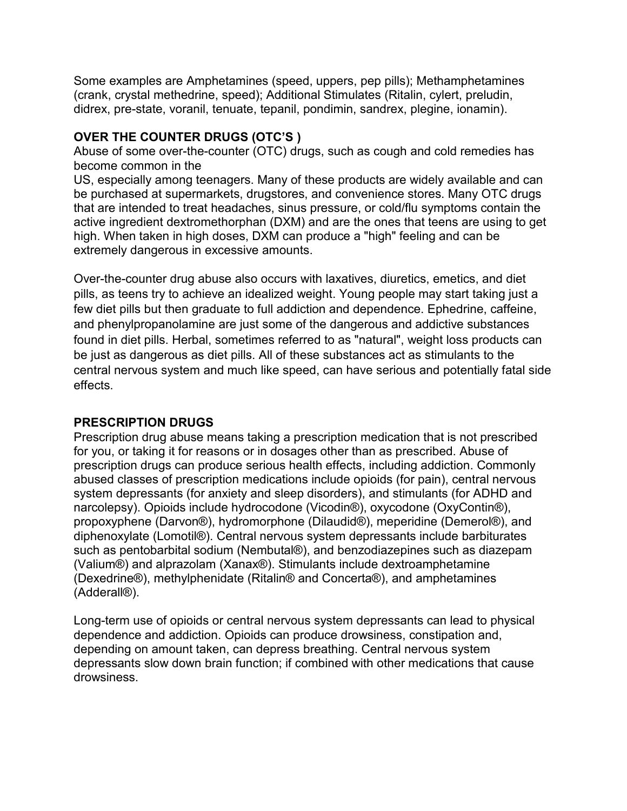Some examples are Amphetamines (speed, uppers, pep pills); Methamphetamines (crank, crystal methedrine, speed); Additional Stimulates (Ritalin, cylert, preludin, didrex, pre-state, voranil, tenuate, tepanil, pondimin, sandrex, plegine, ionamin).

# **OVER THE COUNTER DRUGS (OTC'S )**

Abuse of some over-the-counter (OTC) drugs, such as cough and cold remedies has become common in the

US, especially among teenagers. Many of these products are widely available and can be purchased at supermarkets, drugstores, and convenience stores. Many OTC drugs that are intended to treat headaches, sinus pressure, or cold/flu symptoms contain the active ingredient dextromethorphan (DXM) and are the ones that teens are using to get high. When taken in high doses, DXM can produce a "high" feeling and can be extremely dangerous in excessive amounts.

Over-the-counter drug abuse also occurs with laxatives, diuretics, emetics, and diet pills, as teens try to achieve an idealized weight. Young people may start taking just a few diet pills but then graduate to full addiction and dependence. Ephedrine, caffeine, and phenylpropanolamine are just some of the dangerous and addictive substances found in diet pills. Herbal, sometimes referred to as "natural", weight loss products can be just as dangerous as diet pills. All of these substances act as stimulants to the central nervous system and much like speed, can have serious and potentially fatal side effects.

## **PRESCRIPTION DRUGS**

Prescription drug abuse means taking a prescription medication that is not prescribed for you, or taking it for reasons or in dosages other than as prescribed. Abuse of prescription drugs can produce serious health effects, including addiction. Commonly abused classes of prescription medications include opioids (for pain), central nervous system depressants (for anxiety and sleep disorders), and stimulants (for ADHD and narcolepsy). Opioids include hydrocodone (Vicodin®), oxycodone (OxyContin®), propoxyphene (Darvon®), hydromorphone (Dilaudid®), meperidine (Demerol®), and diphenoxylate (Lomotil®). Central nervous system depressants include barbiturates such as pentobarbital sodium (Nembutal®), and benzodiazepines such as diazepam (Valium®) and alprazolam (Xanax®). Stimulants include dextroamphetamine (Dexedrine®), methylphenidate (Ritalin® and Concerta®), and amphetamines (Adderall®).

Long-term use of opioids or central nervous system depressants can lead to physical dependence and addiction. Opioids can produce drowsiness, constipation and, depending on amount taken, can depress breathing. Central nervous system depressants slow down brain function; if combined with other medications that cause drowsiness.